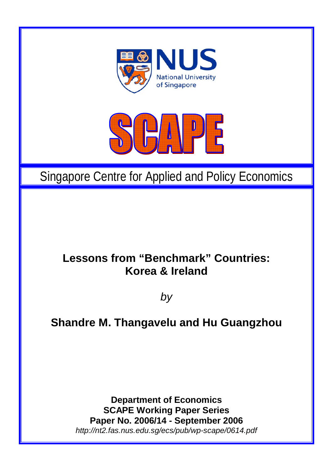



# Singapore Centre for Applied and Policy Economics

## **Lessons from "Benchmark" Countries: Korea & Ireland**

*by* 

## **Shandre M. Thangavelu and Hu Guangzhou**

**Department of Economics SCAPE Working Paper Series Paper No. 2006/14 - September 2006**  *http://nt2.fas.nus.edu.sg/ecs/pub/wp-scape/0614.pdf*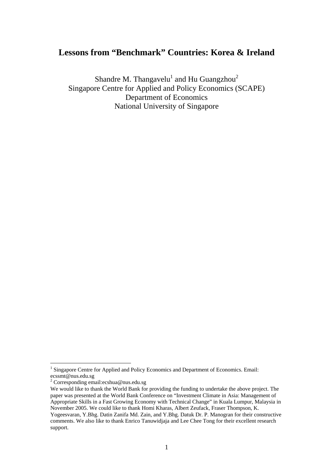### **Lessons from "Benchmark" Countries: Korea & Ireland**

Shandre M. Thangavelu $^{\rm l}$  and Hu Guangzhou $^{\rm 2}$  $^{\rm 2}$  $^{\rm 2}$ Singapore Centre for Applied and Policy Economics (SCAPE) Department of Economics National University of Singapore

 $\overline{a}$ 

<span id="page-1-0"></span><sup>&</sup>lt;sup>1</sup> Singapore Centre for Applied and Policy Economics and Department of Economics. Email: ecssmt@nus.edu.sg 2

<span id="page-1-1"></span>Corresponding email:ecshua@nus.edu.sg

We would like to thank the World Bank for providing the funding to undertake the above project. The paper was presented at the World Bank Conference on "Investment Climate in Asia: Management of Appropriate Skills in a Fast Growing Economy with Technical Change" in Kuala Lumpur, Malaysia in November 2005. We could like to thank Homi Kharas, Albert Zeufack, Fraser Thompson, K. Yogeesvaran, Y.Bhg. Datin Zanifa Md. Zain, and Y.Bhg. Datuk Dr. P. Manogran for their constructive

comments. We also like to thank Enrico Tanuwidjaja and Lee Chee Tong for their excellent research support.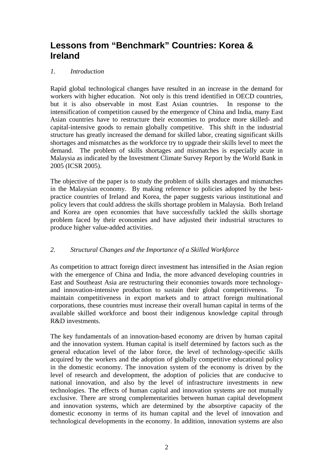## **Lessons from "Benchmark" Countries: Korea & Ireland**

#### *1. Introduction*

Rapid global technological changes have resulted in an increase in the demand for workers with higher education. Not only is this trend identified in OECD countries, but it is also observable in most East Asian countries. In response to the intensification of competition caused by the emergence of China and India, many East Asian countries have to restructure their economies to produce more skilled- and capital-intensive goods to remain globally competitive. This shift in the industrial structure has greatly increased the demand for skilled labor, creating significant skills shortages and mismatches as the workforce try to upgrade their skills level to meet the demand. The problem of skills shortages and mismatches is especially acute in Malaysia as indicated by the Investment Climate Survey Report by the World Bank in 2005 (ICSR 2005).

The objective of the paper is to study the problem of skills shortages and mismatches in the Malaysian economy. By making reference to policies adopted by the bestpractice countries of Ireland and Korea, the paper suggests various institutional and policy levers that could address the skills shortage problem in Malaysia. Both Ireland and Korea are open economies that have successfully tackled the skills shortage problem faced by their economies and have adjusted their industrial structures to produce higher value-added activities.

#### *2. Structural Changes and the Importance of a Skilled Workforce*

As competition to attract foreign direct investment has intensified in the Asian region with the emergence of China and India, the more advanced developing countries in East and Southeast Asia are restructuring their economies towards more technologyand innovation-intensive production to sustain their global competitiveness. To maintain competitiveness in export markets and to attract foreign multinational corporations, these countries must increase their overall human capital in terms of the available skilled workforce and boost their indigenous knowledge capital through R&D investments.

The key fundamentals of an innovation-based economy are driven by human capital and the innovation system. Human capital is itself determined by factors such as the general education level of the labor force, the level of technology-specific skills acquired by the workers and the adoption of globally competitive educational policy in the domestic economy. The innovation system of the economy is driven by the level of research and development, the adoption of policies that are conducive to national innovation, and also by the level of infrastructure investments in new technologies. The effects of human capital and innovation systems are not mutually exclusive. There are strong complementarities between human capital development and innovation systems, which are determined by the absorptive capacity of the domestic economy in terms of its human capital and the level of innovation and technological developments in the economy. In addition, innovation systems are also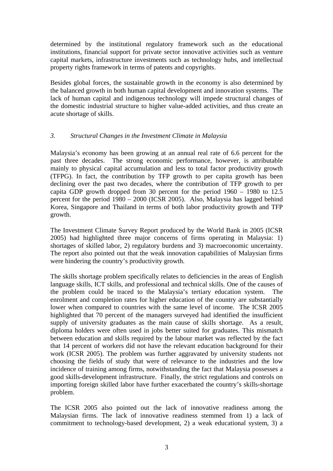determined by the institutional regulatory framework such as the educational institutions, financial support for private sector innovative activities such as venture capital markets, infrastructure investments such as technology hubs, and intellectual property rights framework in terms of patents and copyrights.

Besides global forces, the sustainable growth in the economy is also determined by the balanced growth in both human capital development and innovation systems. The lack of human capital and indigenous technology will impede structural changes of the domestic industrial structure to higher value-added activities, and thus create an acute shortage of skills.

#### *3. Structural Changes in the Investment Climate in Malaysia*

Malaysia's economy has been growing at an annual real rate of 6.6 percent for the past three decades. The strong economic performance, however, is attributable mainly to physical capital accumulation and less to total factor productivity growth (TFPG). In fact, the contribution by TFP growth to per capita growth has been declining over the past two decades, where the contribution of TFP growth to per capita GDP growth dropped from 30 percent for the period 1960 – 1980 to 12.5 percent for the period 1980 – 2000 (ICSR 2005). Also, Malaysia has lagged behind Korea, Singapore and Thailand in terms of both labor productivity growth and TFP growth.

The Investment Climate Survey Report produced by the World Bank in 2005 (ICSR 2005) had highlighted three major concerns of firms operating in Malaysia: 1) shortages of skilled labor, 2) regulatory burdens and 3) macroeconomic uncertainty. The report also pointed out that the weak innovation capabilities of Malaysian firms were hindering the country's productivity growth.

The skills shortage problem specifically relates to deficiencies in the areas of English language skills, ICT skills, and professional and technical skills. One of the causes of the problem could be traced to the Malaysia's tertiary education system. The enrolment and completion rates for higher education of the country are substantially lower when compared to countries with the same level of income. The ICSR 2005 highlighted that 70 percent of the managers surveyed had identified the insufficient supply of university graduates as the main cause of skills shortage. As a result, diploma holders were often used in jobs better suited for graduates. This mismatch between education and skills required by the labour market was reflected by the fact that 14 percent of workers did not have the relevant education background for their work (ICSR 2005). The problem was further aggravated by university students not choosing the fields of study that were of relevance to the industries and the low incidence of training among firms, notwithstanding the fact that Malaysia possesses a good skills-development infrastructure. Finally, the strict regulations and controls on importing foreign skilled labor have further exacerbated the country's skills-shortage problem.

The ICSR 2005 also pointed out the lack of innovative readiness among the Malaysian firms. The lack of innovative readiness stemmed from 1) a lack of commitment to technology-based development, 2) a weak educational system, 3) a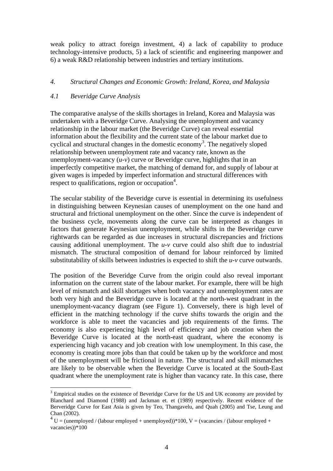weak policy to attract foreign investment, 4) a lack of capability to produce technology-intensive products, 5) a lack of scientific and engineering manpower and 6) a weak R&D relationship between industries and tertiary institutions.

#### *4. Structural Changes and Economic Growth: Ireland, Korea, and Malaysia*

#### *4.1 Beveridge Curve Analysis*

 $\overline{a}$ 

The comparative analyse of the skills shortages in Ireland, Korea and Malaysia was undertaken with a Beveridge Curve. Analysing the unemployment and vacancy relationship in the labour market (the Beveridge Curve) can reveal essential information about the flexibility and the current state of the labour market due to cyclical and structural changes in the domestic economy [3](#page-4-0) . The negatively sloped relationship between unemployment rate and vacancy rate, known as the unemployment-vacancy (*u-v*) curve or Beveridge curve, highlights that in an imperfectly competitive market, the matching of demand for, and supply of labour at given wages is impeded by imperfect information and structural differences with  $r_{\text{respect to qualifications, region or occupation}^4.}$ 

The secular stability of the Beveridge curve is essential in determining its usefulness in distinguishing between Keynesian causes of unemployment on the one hand and structural and frictional unemployment on the other. Since the curve is independent of the business cycle, movements along the curve can be interpreted as changes in factors that generate Keynesian unemployment, while shifts in the Beveridge curve rightwards can be regarded as due increases in structural discrepancies and frictions causing additional unemployment. The *u-v* curve could also shift due to industrial mismatch. The structural composition of demand for labour reinforced by limited substitutability of skills between industries is expected to shift the *u-v* curve outwards.

The position of the Beveridge Curve from the origin could also reveal important information on the current state of the labour market. For example, there will be high level of mismatch and skill shortages when both vacancy and unemployment rates are both very high and the Beveridge curve is located at the north-west quadrant in the unemployment-vacancy diagram (see Figure 1). Conversely, there is high level of efficient in the matching technology if the curve shifts towards the origin and the workforce is able to meet the vacancies and job requirements of the firms. The economy is also experiencing high level of efficiency and job creation when the Beveridge Curve is located at the north-east quadrant, where the economy is experiencing high vacancy and job creation with low unemployment. In this case, the economy is creating more jobs than that could be taken up by the workforce and most of the unemployment will be frictional in nature. The structural and skill mismatches are likely to be observable when the Beveridge Curve is located at the South-East quadrant where the unemployment rate is higher than vacancy rate. In this case, there

<span id="page-4-0"></span> $3$  Empirical studies on the existence of Beveridge Curve for the US and UK economy are provided by Blanchard and Diamond (1988) and Jackman et. et (1989) respectively. Recent evidence of the Berveridge Curve for East Asia is given by Teo, Thangavelu, and Quah (2005) and Tse, Leung and Chan (2002).

<span id="page-4-1"></span> $4^4$  U = (unemployed / (labour employed + unemployed))\*100, V = (vacancies / (labour employed + vacancies))\*100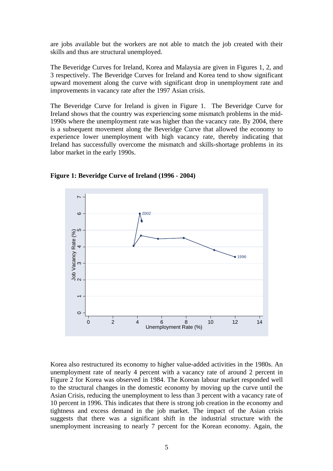are jobs available but the workers are not able to match the job created with their skills and thus are structural unemployed.

The Beveridge Curves for Ireland, Korea and Malaysia are given in Figures 1, 2, and 3 respectively. The Beveridge Curves for Ireland and Korea tend to show significant upward movement along the curve with significant drop in unemployment rate and improvements in vacancy rate after the 1997 Asian crisis.

The Beveridge Curve for Ireland is given in Figure 1. The Beveridge Curve for Ireland shows that the country was experiencing some mismatch problems in the mid-1990s where the unemployment rate was higher than the vacancy rate. By 2004, there is a subsequent movement along the Beveridge Curve that allowed the economy to experience lower unemployment with high vacancy rate, thereby indicating that Ireland has successfully overcome the mismatch and skills-shortage problems in its labor market in the early 1990s.



**Figure 1: Beveridge Curve of Ireland (1996 - 2004)** 

Korea also restructured its economy to higher value-added activities in the 1980s. An unemployment rate of nearly 4 percent with a vacancy rate of around 2 percent in Figure 2 for Korea was observed in 1984. The Korean labour market responded well to the structural changes in the domestic economy by moving up the curve until the Asian Crisis, reducing the unemployment to less than 3 percent with a vacancy rate of 10 percent in 1996. This indicates that there is strong job creation in the economy and tightness and excess demand in the job market. The impact of the Asian crisis suggests that there was a significant shift in the industrial structure with the unemployment increasing to nearly 7 percent for the Korean economy. Again, the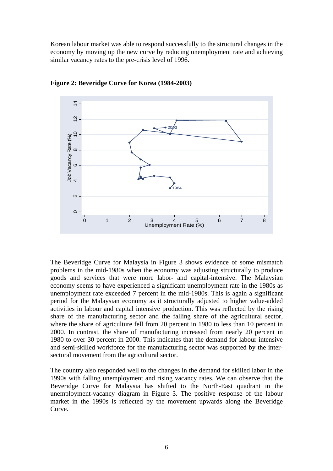Korean labour market was able to respond successfully to the structural changes in the economy by moving up the new curve by reducing unemployment rate and achieving similar vacancy rates to the pre-crisis level of 1996.



**Figure 2: Beveridge Curve for Korea (1984-2003)** 

The Beveridge Curve for Malaysia in Figure 3 shows evidence of some mismatch problems in the mid-1980s when the economy was adjusting structurally to produce goods and services that were more labor- and capital-intensive. The Malaysian economy seems to have experienced a significant unemployment rate in the 1980s as unemployment rate exceeded 7 percent in the mid-1980s. This is again a significant period for the Malaysian economy as it structurally adjusted to higher value-added activities in labour and capital intensive production. This was reflected by the rising share of the manufacturing sector and the falling share of the agricultural sector, where the share of agriculture fell from 20 percent in 1980 to less than 10 percent in 2000. In contrast, the share of manufacturing increased from nearly 20 percent in 1980 to over 30 percent in 2000. This indicates that the demand for labour intensive and semi-skilled workforce for the manufacturing sector was supported by the intersectoral movement from the agricultural sector.

The country also responded well to the changes in the demand for skilled labor in the 1990s with falling unemployment and rising vacancy rates. We can observe that the Beveridge Curve for Malaysia has shifted to the North-East quadrant in the unemployment-vacancy diagram in Figure 3. The positive response of the labour market in the 1990s is reflected by the movement upwards along the Beveridge Curve.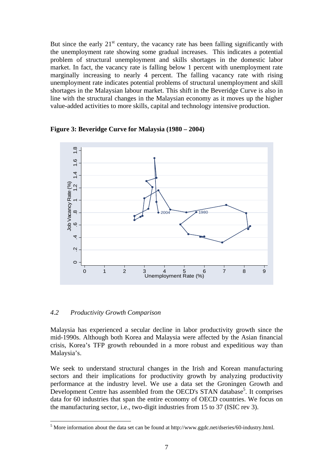But since the early  $21<sup>st</sup>$  century, the vacancy rate has been falling significantly with the unemployment rate showing some gradual increases. This indicates a potential problem of structural unemployment and skills shortages in the domestic labor market. In fact, the vacancy rate is falling below 1 percent with unemployment rate marginally increasing to nearly 4 percent. The falling vacancy rate with rising unemployment rate indicates potential problems of structural unemployment and skill shortages in the Malaysian labour market. This shift in the Beveridge Curve is also in line with the structural changes in the Malaysian economy as it moves up the higher value-added activities to more skills, capital and technology intensive production.



**Figure 3: Beveridge Curve for Malaysia (1980 – 2004)** 

#### *4.2 Productivity Growth Comparison*

 $\overline{a}$ 

Malaysia has experienced a secular decline in labor productivity growth since the mid-1990s. Although both Korea and Malaysia were affected by the Asian financial crisis, Korea's TFP growth rebounded in a more robust and expeditious way than Malaysia's.

We seek to understand structural changes in the Irish and Korean manufacturing sectors and their implications for productivity growth by analyzing productivity performance at the industry level. We use a data set the Groningen Growth and Development Centre has assembled from the OECD's STAN database<sup>5</sup>. It comprises data for 60 industries that span the entire economy of OECD countries. We focus on the manufacturing sector, i.e., two-digit industries from 15 to 37 (ISIC rev 3).

<span id="page-7-0"></span> $<sup>5</sup>$  More information about the data set can be found at http://www.ggdc.net/dseries/60-industry.html.</sup>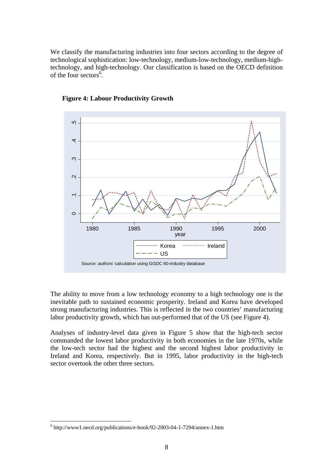We classify the manufacturing industries into four sectors according to the degree of technological sophistication: low-technology, medium-low-technology, medium-hightechnology, and high-technology. Our classification is based on the OECD definition of the four sectors<sup>6</sup>.





The ability to move from a low technology economy to a high technology one is the inevitable path to sustained economic prosperity. Ireland and Korea have developed strong manufacturing industries. This is reflected in the two countries' manufacturing labor productivity growth, which has out-performed that of the US (see Figure 4).

Analyses of industry-level data given in Figure 5 show that the high-tech sector commanded the lowest labor productivity in both economies in the late 1970s, while the low-tech sector had the highest and the second highest labor productivity in Ireland and Korea, respectively. But in 1995, labor productivity in the high-tech sector overtook the other three sectors.

 $\overline{a}$ 

<span id="page-8-0"></span><sup>6</sup> http://www1.oecd.org/publications/e-book/92-2003-04-1-7294/annex-1.htm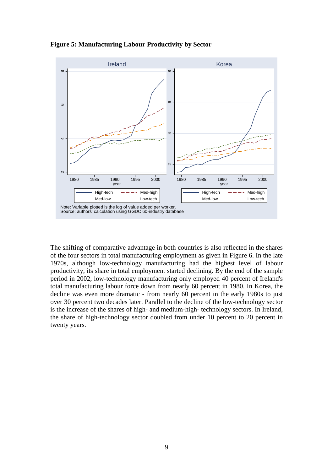**Figure 5: Manufacturing Labour Productivity by Sector** 



The shifting of comparative advantage in both countries is also reflected in the shares of the four sectors in total manufacturing employment as given in Figure 6. In the late 1970s, although low-technology manufacturing had the highest level of labour productivity, its share in total employment started declining. By the end of the sample period in 2002, low-technology manufacturing only employed 40 percent of Ireland's total manufacturing labour force down from nearly 60 percent in 1980. In Korea, the decline was even more dramatic - from nearly 60 percent in the early 1980s to just over 30 percent two decades later. Parallel to the decline of the low-technology sector is the increase of the shares of high- and medium-high- technology sectors. In Ireland, the share of high-technology sector doubled from under 10 percent to 20 percent in twenty years.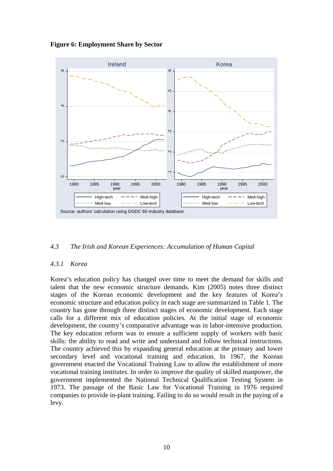**Figure 6: Employment Share by Sector** 



#### *4.3 The Irish and Korean Experiences: Accumulation of Human Capital*

#### *4.3.1 Korea*

Korea's education policy has changed over time to meet the demand for skills and talent that the new economic structure demands. Kim (2005) notes three distinct stages of the Korean economic development and the key features of Korea's economic structure and education policy in each stage are summarized in Table 1. The country has gone through three distinct stages of economic development. Each stage calls for a different mix of education policies. At the initial stage of economic development, the country's comparative advantage was in labor-intensive production. The key education reform was to ensure a sufficient supply of workers with basic skills: the ability to read and write and understand and follow technical instructions. The country achieved this by expanding general education at the primary and lower secondary level and vocational training and education. In 1967, the Korean government enacted the Vocational Training Law to allow the establishment of more vocational training institutes. In order to improve the quality of skilled manpower, the government implemented the National Technical Qualification Testing System in 1973. The passage of the Basic Law for Vocational Training in 1976 required companies to provide in-plant training. Failing to do so would result in the paying of a levy.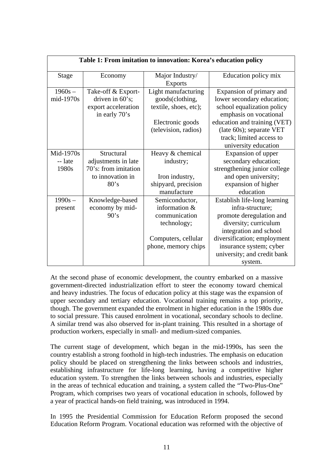| Table 1: From imitation to innovation: Korea's education policy |                                                                                       |                                                                                                               |                                                                                                                                                                                                                                     |
|-----------------------------------------------------------------|---------------------------------------------------------------------------------------|---------------------------------------------------------------------------------------------------------------|-------------------------------------------------------------------------------------------------------------------------------------------------------------------------------------------------------------------------------------|
| Stage                                                           | Economy                                                                               | Major Industry/<br><b>Exports</b>                                                                             | Education policy mix                                                                                                                                                                                                                |
| $1960s -$<br>mid-1970s                                          | Take-off & Export-<br>driven in $60$ 's;<br>export acceleration<br>in early 70's      | Light manufacturing<br>goods(clothing,<br>textile, shoes, etc);<br>Electronic goods<br>(television, radios)   | Expansion of primary and<br>lower secondary education;<br>school equalization policy<br>emphasis on vocational<br>education and training (VET)<br>(late 60s); separate VET<br>track; limited access to<br>university education      |
| Mid-1970s<br>-- late<br>1980s                                   | Structural<br>adjustments in late<br>70's: from imitation<br>to innovation in<br>80's | Heavy & chemical<br>industry;<br>Iron industry,<br>shipyard, precision<br>manufacture                         | Expansion of upper<br>secondary education;<br>strengthening junior college<br>and open university;<br>expansion of higher<br>education                                                                                              |
| $1990s -$<br>present                                            | Knowledge-based<br>economy by mid-<br>90's                                            | Semiconductor,<br>information &<br>communication<br>technology;<br>Computers, cellular<br>phone, memory chips | Establish life-long learning<br>infra-structure;<br>promote deregulation and<br>diversity; curriculum<br>integration and school<br>diversification; employment<br>insurance system; cyber<br>university; and credit bank<br>system. |

At the second phase of economic development, the country embarked on a massive government-directed industrialization effort to steer the economy toward chemical and heavy industries. The focus of education policy at this stage was the expansion of upper secondary and tertiary education. Vocational training remains a top priority, though. The government expanded the enrolment in higher education in the 1980s due to social pressure. This caused enrolment in vocational, secondary schools to decline. A similar trend was also observed for in-plant training. This resulted in a shortage of production workers, especially in small- and medium-sized companies.

The current stage of development, which began in the mid-1990s, has seen the country establish a strong foothold in high-tech industries. The emphasis on education policy should be placed on strengthening the links between schools and industries, establishing infrastructure for life-long learning, having a competitive higher education system. To strengthen the links between schools and industries, especially in the areas of technical education and training, a system called the "Two-Plus-One" Program, which comprises two years of vocational education in schools, followed by a year of practical hands-on field training, was introduced in 1994.

In 1995 the Presidential Commission for Education Reform proposed the second Education Reform Program. Vocational education was reformed with the objective of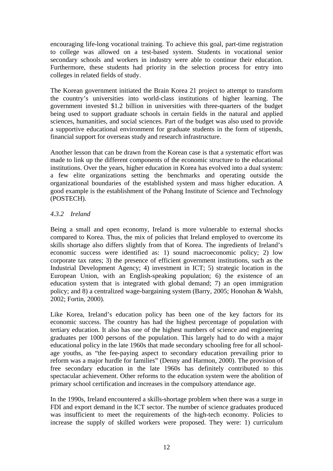encouraging life-long vocational training. To achieve this goal, part-time registration to college was allowed on a test-based system. Students in vocational senior secondary schools and workers in industry were able to continue their education. Furthermore, these students had priority in the selection process for entry into colleges in related fields of study.

The Korean government initiated the Brain Korea 21 project to attempt to transform the country's universities into world-class institutions of higher learning. The government invested \$1.2 billion in universities with three-quarters of the budget being used to support graduate schools in certain fields in the natural and applied sciences, humanities, and social sciences. Part of the budget was also used to provide a supportive educational environment for graduate students in the form of stipends, financial support for overseas study and research infrastructure.

Another lesson that can be drawn from the Korean case is that a systematic effort was made to link up the different components of the economic structure to the educational institutions. Over the years, higher education in Korea has evolved into a dual system: a few elite organizations setting the benchmarks and operating outside the organizational boundaries of the established system and mass higher education. A good example is the establishment of the Pohang Institute of Science and Technology (POSTECH).

#### *4.3.2 Ireland*

Being a small and open economy, Ireland is more vulnerable to external shocks compared to Korea. Thus, the mix of policies that Ireland employed to overcome its skills shortage also differs slightly from that of Korea. The ingredients of Ireland's economic success were identified as: 1) sound macroeconomic policy; 2) low corporate tax rates; 3) the presence of efficient government institutions, such as the Industrial Development Agency; 4) investment in ICT; 5) strategic location in the European Union, with an English-speaking population; 6) the existence of an education system that is integrated with global demand; 7) an open immigration policy; and 8) a centralized wage-bargaining system (Barry, 2005; Honohan & Walsh, 2002; Fortin, 2000).

Like Korea, Ireland's education policy has been one of the key factors for its economic success. The country has had the highest percentage of population with tertiary education. It also has one of the highest numbers of science and engineering graduates per 1000 persons of the population. This largely had to do with a major educational policy in the late 1960s that made secondary schooling free for all schoolage youths, as "the fee-paying aspect to secondary education prevailing prior to reform was a major hurdle for families" (Denny and Harmon, 2000). The provision of free secondary education in the late 1960s has definitely contributed to this spectacular achievement. Other reforms to the education system were the abolition of primary school certification and increases in the compulsory attendance age.

In the 1990s, Ireland encountered a skills-shortage problem when there was a surge in FDI and export demand in the ICT sector. The number of science graduates produced was insufficient to meet the requirements of the high-tech economy. Policies to increase the supply of skilled workers were proposed. They were: 1) curriculum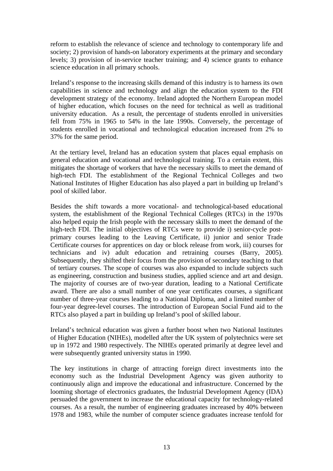reform to establish the relevance of science and technology to contemporary life and society; 2) provision of hands-on laboratory experiments at the primary and secondary levels; 3) provision of in-service teacher training; and 4) science grants to enhance science education in all primary schools.

Ireland's response to the increasing skills demand of this industry is to harness its own capabilities in science and technology and align the education system to the FDI development strategy of the economy. Ireland adopted the Northern European model of higher education, which focuses on the need for technical as well as traditional university education. As a result, the percentage of students enrolled in universities fell from 75% in 1965 to 54% in the late 1990s. Conversely, the percentage of students enrolled in vocational and technological education increased from 2% to 37% for the same period.

At the tertiary level, Ireland has an education system that places equal emphasis on general education and vocational and technological training. To a certain extent, this mitigates the shortage of workers that have the necessary skills to meet the demand of high-tech FDI. The establishment of the Regional Technical Colleges and two National Institutes of Higher Education has also played a part in building up Ireland's pool of skilled labor.

Besides the shift towards a more vocational- and technological-based educational system, the establishment of the Regional Technical Colleges (RTCs) in the 1970s also helped equip the Irish people with the necessary skills to meet the demand of the high-tech FDI. The initial objectives of RTCs were to provide i) senior-cycle postprimary courses leading to the Leaving Certificate, ii) junior and senior Trade Certificate courses for apprentices on day or block release from work, iii) courses for technicians and iv) adult education and retraining courses (Barry, 2005). Subsequently, they shifted their focus from the provision of secondary teaching to that of tertiary courses. The scope of courses was also expanded to include subjects such as engineering, construction and business studies, applied science and art and design. The majority of courses are of two-year duration, leading to a National Certificate award. There are also a small number of one year certificates courses, a significant number of three-year courses leading to a National Diploma, and a limited number of four-year degree-level courses. The introduction of European Social Fund aid to the RTCs also played a part in building up Ireland's pool of skilled labour.

Ireland's technical education was given a further boost when two National Institutes of Higher Education (NIHEs), modelled after the UK system of polytechnics were set up in 1972 and 1980 respectively. The NIHEs operated primarily at degree level and were subsequently granted university status in 1990.

The key institutions in charge of attracting foreign direct investments into the economy such as the Industrial Development Agency was given authority to continuously align and improve the educational and infrastructure. Concerned by the looming shortage of electronics graduates, the Industrial Development Agency (IDA) persuaded the government to increase the educational capacity for technology-related courses. As a result, the number of engineering graduates increased by 40% between 1978 and 1983, while the number of computer science graduates increase tenfold for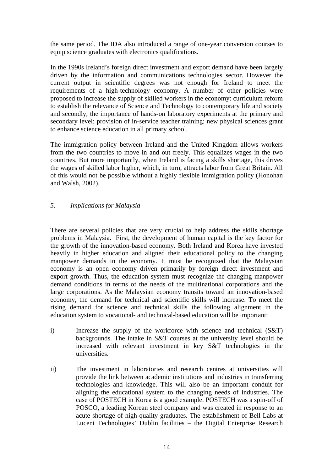the same period. The IDA also introduced a range of one-year conversion courses to equip science graduates with electronics qualifications.

In the 1990s Ireland's foreign direct investment and export demand have been largely driven by the information and communications technologies sector. However the current output in scientific degrees was not enough for Ireland to meet the requirements of a high-technology economy. A number of other policies were proposed to increase the supply of skilled workers in the economy: curriculum reform to establish the relevance of Science and Technology to contemporary life and society and secondly, the importance of hands-on laboratory experiments at the primary and secondary level; provision of in-service teacher training; new physical sciences grant to enhance science education in all primary school.

The immigration policy between Ireland and the United Kingdom allows workers from the two countries to move in and out freely. This equalizes wages in the two countries. But more importantly, when Ireland is facing a skills shortage, this drives the wages of skilled labor higher, which, in turn, attracts labor from Great Britain. All of this would not be possible without a highly flexible immigration policy (Honohan and Walsh, 2002).

#### *5. Implications for Malaysia*

There are several policies that are very crucial to help address the skills shortage problems in Malaysia. First, the development of human capital is the key factor for the growth of the innovation-based economy. Both Ireland and Korea have invested heavily in higher education and aligned their educational policy to the changing manpower demands in the economy. It must be recognized that the Malaysian economy is an open economy driven primarily by foreign direct investment and export growth. Thus, the education system must recognize the changing manpower demand conditions in terms of the needs of the multinational corporations and the large corporations. As the Malaysian economy transits toward an innovation-based economy, the demand for technical and scientific skills will increase. To meet the rising demand for science and technical skills the following alignment in the education system to vocational- and technical-based education will be important:

- i) Increase the supply of the workforce with science and technical (S&T) backgrounds. The intake in S&T courses at the university level should be increased with relevant investment in key S&T technologies in the universities.
- ii) The investment in laboratories and research centres at universities will provide the link between academic institutions and industries in transferring technologies and knowledge. This will also be an important conduit for aligning the educational system to the changing needs of industries. The case of POSTECH in Korea is a good example. POSTECH was a spin-off of POSCO, a leading Korean steel company and was created in response to an acute shortage of high-quality graduates. The establishment of Bell Labs at Lucent Technologies' Dublin facilities – the Digital Enterprise Research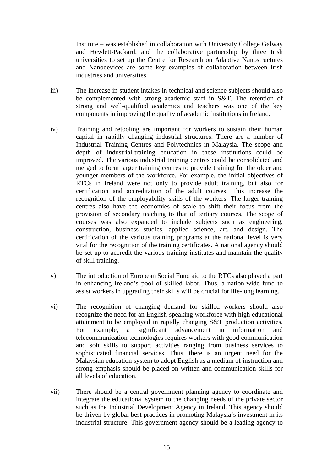Institute – was established in collaboration with University College Galway and Hewlett-Packard, and the collaborative partnership by three Irish universities to set up the Centre for Research on Adaptive Nanostructures and Nanodevices are some key examples of collaboration between Irish industries and universities.

- iii) The increase in student intakes in technical and science subjects should also be complemented with strong academic staff in S&T. The retention of strong and well-qualified academics and teachers was one of the key components in improving the quality of academic institutions in Ireland.
- iv) Training and retooling are important for workers to sustain their human capital in rapidly changing industrial structures. There are a number of Industrial Training Centres and Polytechnics in Malaysia. The scope and depth of industrial-training education in these institutions could be improved. The various industrial training centres could be consolidated and merged to form larger training centres to provide training for the older and younger members of the workforce. For example, the initial objectives of RTCs in Ireland were not only to provide adult training, but also for certification and accreditation of the adult courses. This increase the recognition of the employability skills of the workers. The larger training centres also have the economies of scale to shift their focus from the provision of secondary teaching to that of tertiary courses. The scope of courses was also expanded to include subjects such as engineering, construction, business studies, applied science, art, and design. The certification of the various training programs at the national level is very vital for the recognition of the training certificates. A national agency should be set up to accredit the various training institutes and maintain the quality of skill training.
- v) The introduction of European Social Fund aid to the RTCs also played a part in enhancing Ireland's pool of skilled labor. Thus, a nation-wide fund to assist workers in upgrading their skills will be crucial for life-long learning.
- vi) The recognition of changing demand for skilled workers should also recognize the need for an English-speaking workforce with high educational attainment to be employed in rapidly changing S&T production activities. For example, a significant advancement in information and telecommunication technologies requires workers with good communication and soft skills to support activities ranging from business services to sophisticated financial services. Thus, there is an urgent need for the Malaysian education system to adopt English as a medium of instruction and strong emphasis should be placed on written and communication skills for all levels of education.
- vii) There should be a central government planning agency to coordinate and integrate the educational system to the changing needs of the private sector such as the Industrial Development Agency in Ireland. This agency should be driven by global best practices in promoting Malaysia's investment in its industrial structure. This government agency should be a leading agency to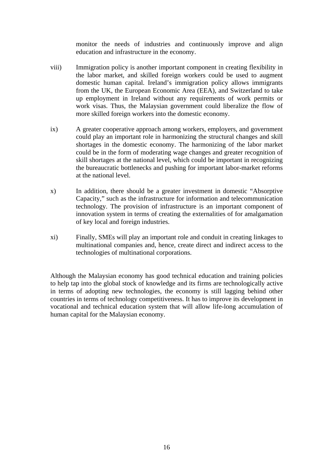monitor the needs of industries and continuously improve and align education and infrastructure in the economy.

- viii) Immigration policy is another important component in creating flexibility in the labor market, and skilled foreign workers could be used to augment domestic human capital. Ireland's immigration policy allows immigrants from the UK, the European Economic Area (EEA), and Switzerland to take up employment in Ireland without any requirements of work permits or work visas. Thus, the Malaysian government could liberalize the flow of more skilled foreign workers into the domestic economy.
- ix) A greater cooperative approach among workers, employers, and government could play an important role in harmonizing the structural changes and skill shortages in the domestic economy. The harmonizing of the labor market could be in the form of moderating wage changes and greater recognition of skill shortages at the national level, which could be important in recognizing the bureaucratic bottlenecks and pushing for important labor-market reforms at the national level.
- x) In addition, there should be a greater investment in domestic "Absorptive Capacity," such as the infrastructure for information and telecommunication technology. The provision of infrastructure is an important component of innovation system in terms of creating the externalities of for amalgamation of key local and foreign industries.
- xi) Finally, SMEs will play an important role and conduit in creating linkages to multinational companies and, hence, create direct and indirect access to the technologies of multinational corporations.

Although the Malaysian economy has good technical education and training policies to help tap into the global stock of knowledge and its firms are technologically active in terms of adopting new technologies, the economy is still lagging behind other countries in terms of technology competitiveness. It has to improve its development in vocational and technical education system that will allow life-long accumulation of human capital for the Malaysian economy.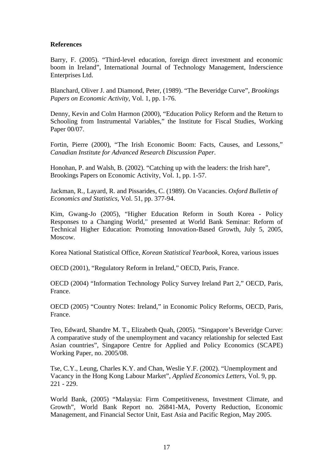#### **References**

Barry, F. (2005). "Third-level education, foreign direct investment and economic boom in Ireland", International Journal of Technology Management, Inderscience Enterprises Ltd.

Blanchard, Oliver J. and Diamond, Peter, (1989). "The Beveridge Curve", *Brookings Papers on Economic Activity,* Vol. 1, pp. 1-76.

Denny, Kevin and Colm Harmon (2000), "Education Policy Reform and the Return to Schooling from Instrumental Variables," the Institute for Fiscal Studies, Working Paper 00/07.

Fortin, Pierre (2000), "The Irish Economic Boom: Facts, Causes, and Lessons," *Canadian Institute for Advanced Research Discussion Paper*.

Honohan, P. and Walsh, B. (2002). "Catching up with the leaders: the Irish hare", Brookings Papers on Economic Activity, Vol. 1, pp. 1-57.

Jackman, R., Layard, R. and Pissarides, C. (1989). On Vacancies. *Oxford Bulletin of Economics and Statistics,* Vol. 51, pp. 377-94.

Kim, Gwang-Jo (2005), "Higher Education Reform in South Korea - Policy Responses to a Changing World," presented at World Bank Seminar: Reform of Technical Higher Education: Promoting Innovation-Based Growth, July 5, 2005, Moscow.

Korea National Statistical Office, *Korean Statistical Yearbook*, Korea, various issues

OECD (2001), "Regulatory Reform in Ireland," OECD, Paris, France.

OECD (2004) "Information Technology Policy Survey Ireland Part 2," OECD, Paris, France.

OECD (2005) "Country Notes: Ireland," in Economic Policy Reforms, OECD, Paris, France.

Teo, Edward, Shandre M. T., Elizabeth Quah, (2005). "Singapore's Beveridge Curve: A comparative study of the unemployment and vacancy relationship for selected East Asian countries", Singapore Centre for Applied and Policy Economics (SCAPE) Working Paper, no. 2005/08.

Tse, C.Y., Leung, Charles K.Y. and Chan, Weslie Y.F. (2002). "Unemployment and Vacancy in the Hong Kong Labour Market", *Applied Economics Letters*, Vol. 9, pp. 221 - 229.

World Bank, (2005) "Malaysia: Firm Competitiveness, Investment Climate, and Growth", World Bank Report no. 26841-MA, Poverty Reduction, Economic Management, and Financial Sector Unit, East Asia and Pacific Region, May 2005.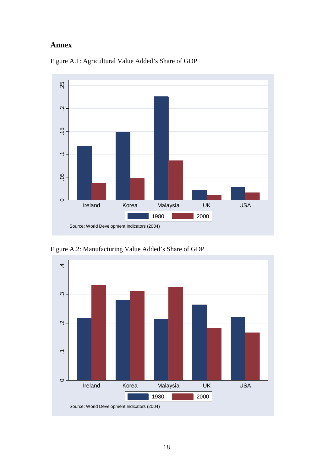### **Annex**



Figure A.1: Agricultural Value Added's Share of GDP

Figure A.2: Manufacturing Value Added's Share of GDP